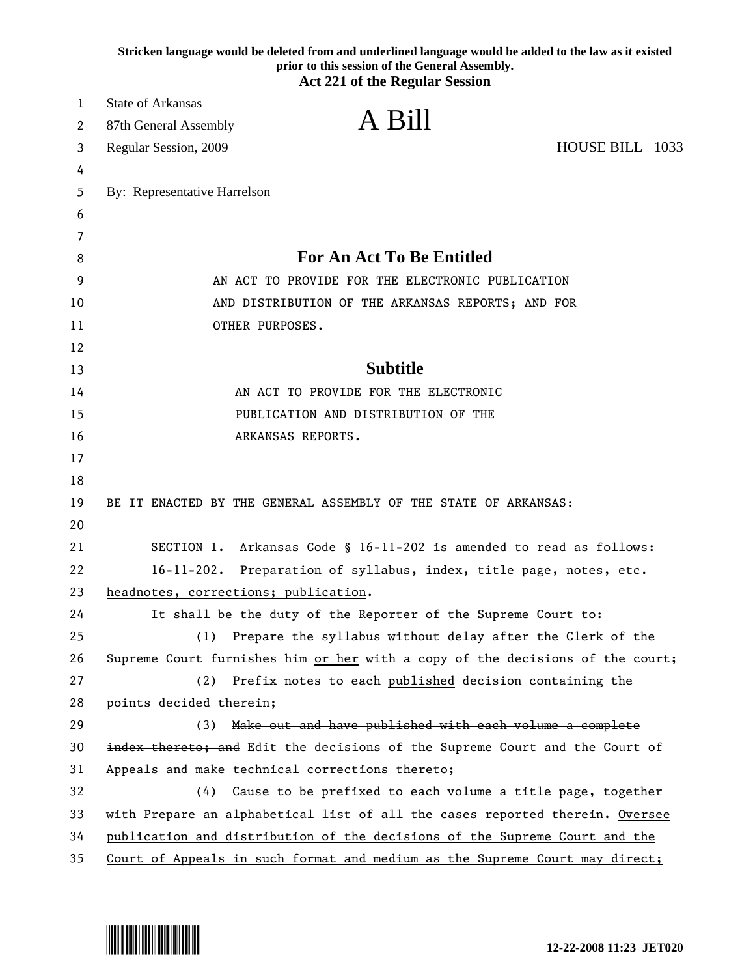|    | Stricken language would be deleted from and underlined language would be added to the law as it existed<br>prior to this session of the General Assembly.<br><b>Act 221 of the Regular Session</b> |
|----|----------------------------------------------------------------------------------------------------------------------------------------------------------------------------------------------------|
| 1  | <b>State of Arkansas</b>                                                                                                                                                                           |
| 2  | A Bill<br>87th General Assembly                                                                                                                                                                    |
| 3  | HOUSE BILL 1033<br>Regular Session, 2009                                                                                                                                                           |
| 4  |                                                                                                                                                                                                    |
| 5  | By: Representative Harrelson                                                                                                                                                                       |
| 6  |                                                                                                                                                                                                    |
| 7  |                                                                                                                                                                                                    |
| 8  | <b>For An Act To Be Entitled</b>                                                                                                                                                                   |
| 9  | AN ACT TO PROVIDE FOR THE ELECTRONIC PUBLICATION                                                                                                                                                   |
| 10 | AND DISTRIBUTION OF THE ARKANSAS REPORTS; AND FOR                                                                                                                                                  |
| 11 | OTHER PURPOSES.                                                                                                                                                                                    |
| 12 |                                                                                                                                                                                                    |
| 13 | <b>Subtitle</b>                                                                                                                                                                                    |
| 14 | AN ACT TO PROVIDE FOR THE ELECTRONIC                                                                                                                                                               |
| 15 | PUBLICATION AND DISTRIBUTION OF THE                                                                                                                                                                |
| 16 | ARKANSAS REPORTS.                                                                                                                                                                                  |
| 17 |                                                                                                                                                                                                    |
| 18 |                                                                                                                                                                                                    |
| 19 | BE IT ENACTED BY THE GENERAL ASSEMBLY OF THE STATE OF ARKANSAS:                                                                                                                                    |
| 20 |                                                                                                                                                                                                    |
| 21 | SECTION 1. Arkansas Code § 16-11-202 is amended to read as follows:                                                                                                                                |
| 22 | $16 - 11 - 202$ .<br>Preparation of syllabus, index, title page, notes, etc.                                                                                                                       |
| 23 | headnotes, corrections; publication.                                                                                                                                                               |
| 24 | It shall be the duty of the Reporter of the Supreme Court to:                                                                                                                                      |
| 25 | Prepare the syllabus without delay after the Clerk of the<br>(1)                                                                                                                                   |
| 26 | Supreme Court furnishes him or her with a copy of the decisions of the court;                                                                                                                      |
| 27 | (2)<br>Prefix notes to each published decision containing the                                                                                                                                      |
| 28 | points decided therein;                                                                                                                                                                            |
| 29 | Make out and have published with each volume a complete<br>(3)                                                                                                                                     |
| 30 | index thereto; and Edit the decisions of the Supreme Court and the Court of                                                                                                                        |
| 31 | Appeals and make technical corrections thereto;                                                                                                                                                    |
| 32 | (4) Gause to be prefixed to each volume a title page, together                                                                                                                                     |
| 33 | with Prepare an alphabetical list of all the cases reported therein. Oversee                                                                                                                       |
| 34 | publication and distribution of the decisions of the Supreme Court and the                                                                                                                         |
| 35 | Court of Appeals in such format and medium as the Supreme Court may direct;                                                                                                                        |

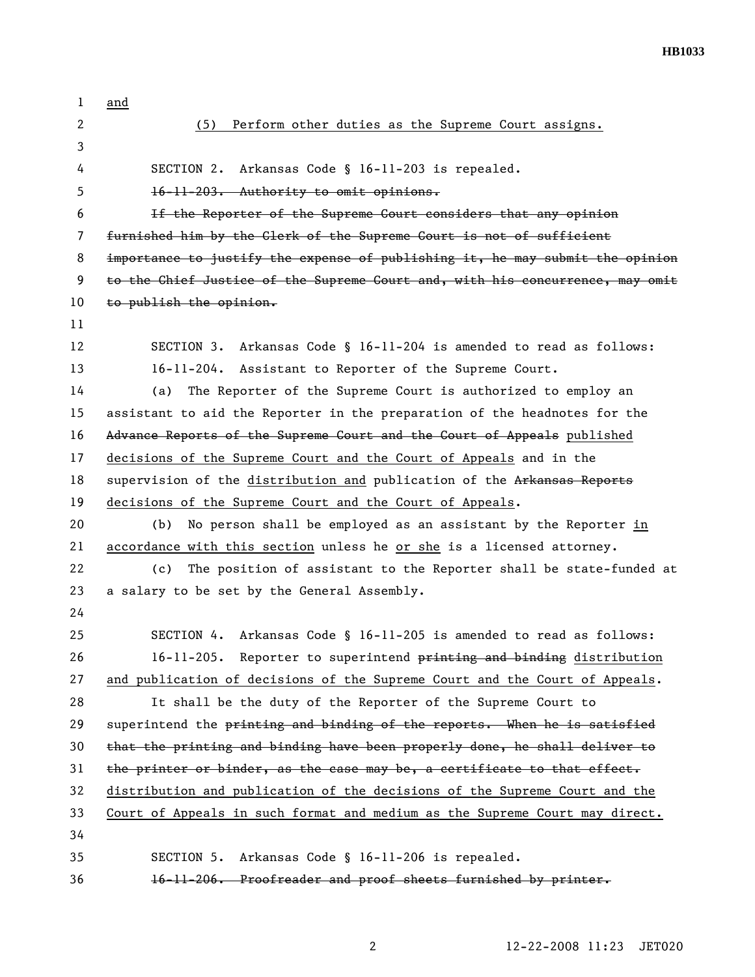| 1              | and                                                                           |
|----------------|-------------------------------------------------------------------------------|
| 2              | Perform other duties as the Supreme Court assigns.<br>(5)                     |
| 3              |                                                                               |
| 4              | SECTION 2. Arkansas Code § 16-11-203 is repealed.                             |
| 5              | 16-11-203. Authority to omit opinions.                                        |
| 6              | If the Reporter of the Supreme Court considers that any opinion               |
| $\overline{7}$ | furnished him by the Clerk of the Supreme Court is not of sufficient          |
| 8              | importance to justify the expense of publishing it, he may submit the opinion |
| 9              | to the Chief Justice of the Supreme Court and, with his concurrence, may omit |
| 10             | to publish the opinion.                                                       |
| 11             |                                                                               |
| 12             | SECTION 3. Arkansas Code § 16-11-204 is amended to read as follows:           |
| 13             | 16-11-204. Assistant to Reporter of the Supreme Court.                        |
| 14             | The Reporter of the Supreme Court is authorized to employ an<br>(a)           |
| 15             | assistant to aid the Reporter in the preparation of the headnotes for the     |
| 16             | Advance Reports of the Supreme Court and the Court of Appeals published       |
| 17             | decisions of the Supreme Court and the Court of Appeals and in the            |
| 18             | supervision of the distribution and publication of the Arkansas Reports       |
| 19             | decisions of the Supreme Court and the Court of Appeals.                      |
| 20             | No person shall be employed as an assistant by the Reporter in<br>(b)         |
| 21             | accordance with this section unless he or she is a licensed attorney.         |
| 22             | The position of assistant to the Reporter shall be state-funded at<br>(c)     |
| 23             | a salary to be set by the General Assembly.                                   |
| 24             |                                                                               |
| 25             | SECTION 4. Arkansas Code § 16-11-205 is amended to read as follows:           |
| 26             | 16-11-205. Reporter to superintend printing and binding distribution          |
| 27             | and publication of decisions of the Supreme Court and the Court of Appeals.   |
| 28             | It shall be the duty of the Reporter of the Supreme Court to                  |
| 29             | superintend the printing and binding of the reports. When he is satisfied     |
| 30             | that the printing and binding have been properly done, he shall deliver to    |
| 31             | the printer or binder, as the case may be, a certificate to that effect.      |
| 32             | distribution and publication of the decisions of the Supreme Court and the    |
| 33             | Court of Appeals in such format and medium as the Supreme Court may direct.   |
| 34             |                                                                               |
| 35             | SECTION 5. Arkansas Code § 16-11-206 is repealed.                             |
| 36             | 16-11-206. Proofreader and proof sheets furnished by printer.                 |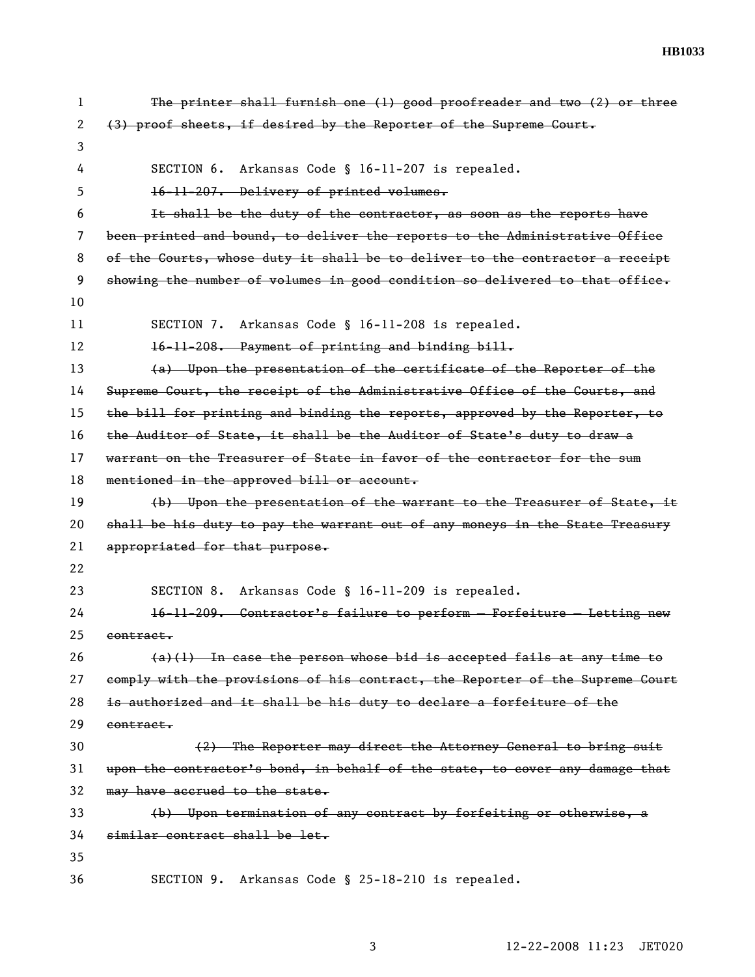```
1 The printer shall furnish one (1) good proofreader and two (2) or three 
 2 (3) proof sheets, if desired by the Reporter of the Supreme Court.
 3 
 4 SECTION 6. Arkansas Code § 16-11-207 is repealed. 
5 16-11-207. Delivery of printed volumes.
 6 It shall be the duty of the contractor, as soon as the reports have 
 7 been printed and bound, to deliver the reports to the Administrative Office 
8 of the Courts, whose duty it shall be to deliver to the contractor a receipt 
9 showing the number of volumes in good condition so delivered to that office.
10 
11 SECTION 7. Arkansas Code § 16-11-208 is repealed. 
12 16-11-208. Payment of printing and binding bill.
13 (a) Upon the presentation of the certificate of the Reporter of the
14 Supreme Court, the receipt of the Administrative Office of the Courts, and 
15 the bill for printing and binding the reports, approved by the Reporter, to
16 the Auditor of State, it shall be the Auditor of State's duty to draw a 
17 warrant on the Treasurer of State in favor of the contractor for the sum
18 mentioned in the approved bill or account.
19 (b) Upon the presentation of the warrant to the Treasurer of State, it 
20 shall be his duty to pay the warrant out of any moneys in the State Treasury 
21 appropriated for that purpose.
22 
23 SECTION 8. Arkansas Code § 16-11-209 is repealed. 
24 16-11-209. Contractor's failure to perform — Forfeiture — Letting new 
25 contract.
26 (a)(1) In case the person whose bid is accepted fails at any time to
27 comply with the provisions of his contract, the Reporter of the Supreme Court
28 is authorized and it shall be his duty to declare a forfeiture of the 
29 contract.
30 (2) The Reporter may direct the Attorney General to bring suit 
31 upon the contractor's bond, in behalf of the state, to cover any damage that 
32 may have accrued to the state.
33 (b) Upon termination of any contract by forfeiting or otherwise, a 
34 similar contract shall be let.
35 
36 SECTION 9. Arkansas Code § 25-18-210 is repealed.
```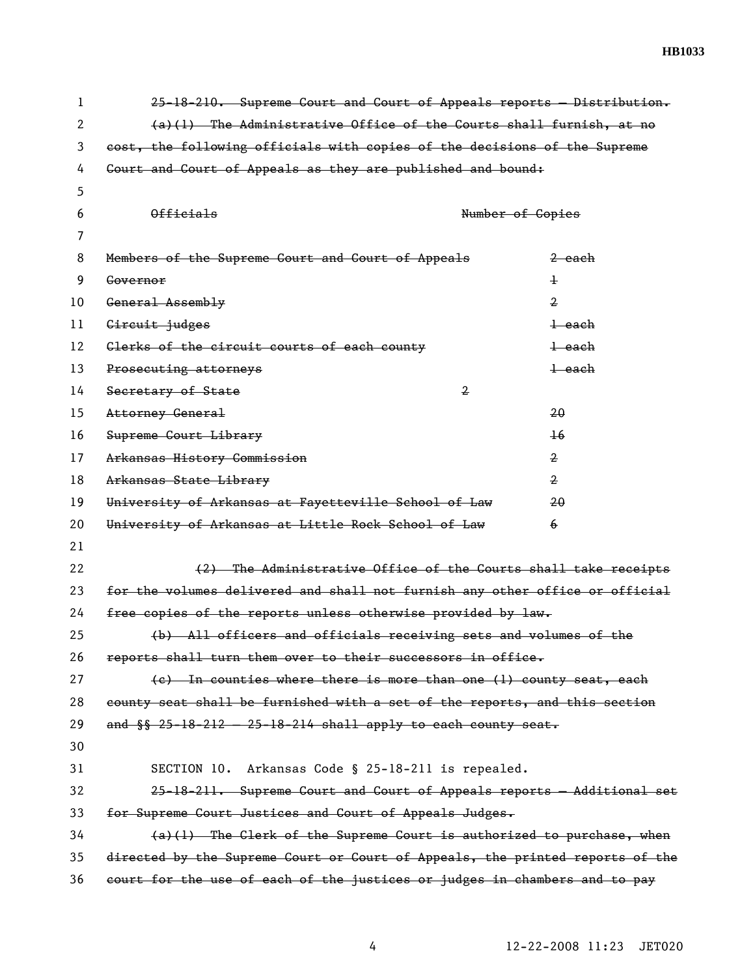**HB1033** 

| 1  | 25-18-210. Supreme Court and Court of Appeals reports - Distribution.         |                    |
|----|-------------------------------------------------------------------------------|--------------------|
| 2  | $(a)(1)$ The Administrative Office of the Courts shall furnish, at no         |                    |
| 3  | cost, the following officials with copies of the decisions of the Supreme     |                    |
| 4  | Court and Court of Appeals as they are published and bound:                   |                    |
| 5  |                                                                               |                    |
| 6  | Officials                                                                     | Number of Copies   |
| 7  |                                                                               |                    |
| 8  | Members of the Supreme Court and Court of Appeals                             | 2 each             |
| 9  | Governor                                                                      | $\pm$              |
| 10 | General Assembly                                                              | $\overline{2}$     |
| 11 | Circuit judges                                                                | <del>l each</del>  |
| 12 | Clerks of the circuit courts of each county                                   | $\frac{1}{2}$ each |
| 13 | Prosecuting attorneys                                                         | <del>l each</del>  |
| 14 | Secretary of State<br>$\overline{2}$                                          |                    |
| 15 | Attorney General                                                              | 20                 |
| 16 | Supreme Court Library                                                         | $\overline{16}$    |
| 17 | Arkansas History Commission                                                   | $\overline{2}$     |
| 18 | Arkansas State Library                                                        | $\overline{2}$     |
| 19 | University of Arkansas at Fayetteville School of Law                          | 20                 |
| 20 | University of Arkansas at Little Rock School of Law                           | 6                  |
| 21 |                                                                               |                    |
| 22 | (2) The Administrative Office of the Courts shall take receipts               |                    |
| 23 | for the volumes delivered and shall not furnish any other office or official  |                    |
| 24 | free copies of the reports unless otherwise provided by law.                  |                    |
| 25 | (b) All officers and officials receiving sets and volumes of the              |                    |
| 26 | reports shall turn them over to their successors in office.                   |                    |
| 27 | (e) In counties where there is more than one (1) county seat, each            |                    |
| 28 | county seat shall be furnished with a set of the reports, and this section    |                    |
| 29 | and $\S$ 25-18-212 - 25-18-214 shall apply to each county seat.               |                    |
| 30 |                                                                               |                    |
| 31 | SECTION 10. Arkansas Code § 25-18-211 is repealed.                            |                    |
| 32 | 25-18-211. Supreme Court and Court of Appeals reports - Additional set        |                    |
| 33 | for Supreme Court Justices and Court of Appeals Judges.                       |                    |
| 34 | $(a)(1)$ The Clerk of the Supreme Court is authorized to purchase, when       |                    |
| 35 | directed by the Supreme Court or Court of Appeals, the printed reports of the |                    |
| 36 | court for the use of each of the justices or judges in chambers and to pay    |                    |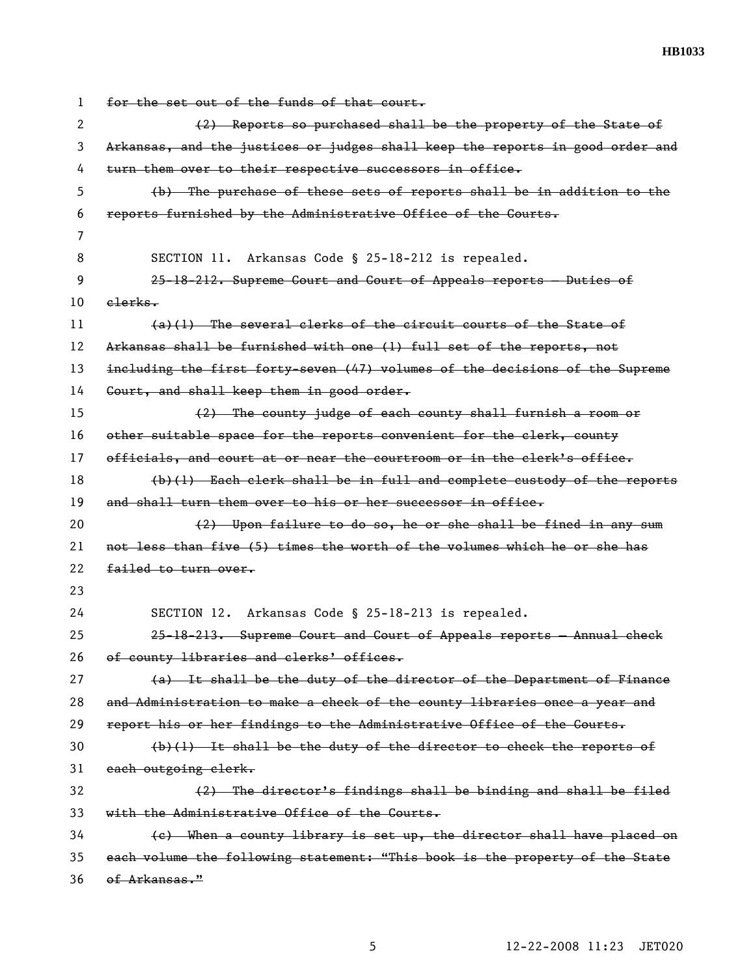| 1  | for the set out of the funds of that court.                                   |
|----|-------------------------------------------------------------------------------|
| 2  | (2) Reports so purchased shall be the property of the State of                |
| 3  | Arkansas, and the justices or judges shall keep the reports in good order and |
| 4  | turn them over to their respective successors in office.                      |
| 5  | (b) The purchase of these sets of reports shall be in addition to the         |
| 6  | reports furnished by the Administrative Office of the Courts.                 |
| 7  |                                                                               |
| 8  | SECTION 11. Arkansas Code § 25-18-212 is repealed.                            |
| 9  | 25-18-212. Supreme Court and Court of Appeals reports - Duties of             |
| 10 | elerks.                                                                       |
| 11 | $(a)(1)$ The several elerks of the circuit courts of the State of             |
| 12 | Arkansas shall be furnished with one (1) full set of the reports, not         |
| 13 | including the first forty-seven (47) volumes of the decisions of the Supreme  |
| 14 | Court, and shall keep them in good order.                                     |
| 15 | (2) The county judge of each county shall furnish a room or                   |
| 16 | other suitable space for the reports convenient for the clerk, county         |
| 17 | officials, and court at or near the courtroom or in the clerk's office.       |
| 18 | (b)(1) Each clerk shall be in full and complete custody of the reports        |
| 19 | and shall turn them over to his or her successor in office.                   |
| 20 | (2) Upon failure to do so, he or she shall be fined in any sum                |
| 21 | not less than five (5) times the worth of the volumes which he or she has     |
| 22 | failed to turn over.                                                          |
| 23 |                                                                               |
| 24 | SECTION 12. Arkansas Code § 25-18-213 is repealed.                            |
| 25 | 25-18-213. Supreme Court and Court of Appeals reports - Annual check          |
| 26 | of county libraries and clerks' offices.                                      |
| 27 | (a) It shall be the duty of the director of the Department of Finance         |
| 28 | and Administration to make a check of the county libraries once a year and    |
| 29 | report his or her findings to the Administrative Office of the Courts.        |
| 30 | $(b)(1)$ It shall be the duty of the director to check the reports of         |
| 31 | each outgoing clerk.                                                          |
| 32 | (2) The director's findings shall be binding and shall be filed               |
| 33 | with the Administrative Office of the Courts.                                 |
| 34 | (c) When a county library is set up, the director shall have placed on        |
| 35 | each volume the following statement: "This book is the property of the State  |
| 36 | of Arkansas."                                                                 |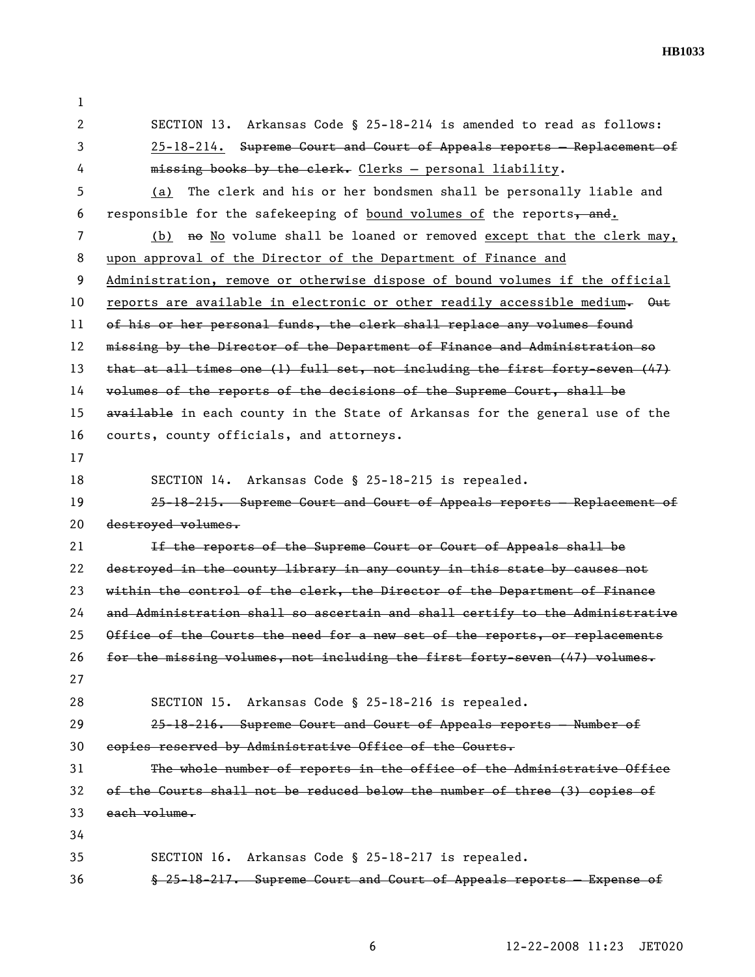**HB1033** 

| 1                     |                                                                                  |
|-----------------------|----------------------------------------------------------------------------------|
| $\mathbf{2}^{\prime}$ | SECTION 13. Arkansas Code § 25-18-214 is amended to read as follows:             |
| 3                     | 25-18-214. Supreme Court and Court of Appeals reports - Replacement of           |
| 4                     | missing books by the clerk. Clerks - personal liability.                         |
| 5                     | The clerk and his or her bondsmen shall be personally liable and<br>(a)          |
| 6                     | responsible for the safekeeping of bound volumes of the reports, and.            |
| 7                     | no No volume shall be loaned or removed except that the clerk may,<br>(b)        |
| 8                     | upon approval of the Director of the Department of Finance and                   |
| 9                     | Administration, remove or otherwise dispose of bound volumes if the official     |
| 10                    | reports are available in electronic or other readily accessible medium. Out      |
| 11                    | of his or her personal funds, the clerk shall replace any volumes found          |
| 12                    | missing by the Director of the Department of Finance and Administration so       |
| 13                    | that at all times one $(1)$ full set, not including the first forty-seven $(47)$ |
| 14                    | volumes of the reports of the decisions of the Supreme Court, shall be           |
| 15                    | available in each county in the State of Arkansas for the general use of the     |
| 16                    | courts, county officials, and attorneys.                                         |
| 17                    |                                                                                  |
| 18                    | SECTION 14. Arkansas Code § 25-18-215 is repealed.                               |
|                       |                                                                                  |
| 19                    | 25-18-215. Supreme Court and Court of Appeals reports - Replacement of           |
| 20                    | destroyed volumes.                                                               |
| 21                    | If the reports of the Supreme Court or Court of Appeals shall be                 |
| 22                    | destroyed in the county library in any county in this state by causes not        |
| 23                    | within the control of the clerk, the Director of the Department of Finance       |
| 24                    | and Administration shall so ascertain and shall certify to the Administrative    |
| 25                    | Office of the Courts the need for a new set of the reports, or replacements      |
| 26                    | for the missing volumes, not including the first forty-seven (47) volumes.       |
| 27                    |                                                                                  |
| 28                    | SECTION 15. Arkansas Code § 25-18-216 is repealed.                               |
| 29                    | 25-18-216. Supreme Court and Court of Appeals reports - Number of                |
| 30                    | copies reserved by Administrative Office of the Courts.                          |
| 31                    | The whole number of reports in the office of the Administrative Office           |
| 32                    | of the Courts shall not be reduced below the number of three (3) copies of       |
| 33                    | each volume.                                                                     |
| 34                    |                                                                                  |
| 35                    | SECTION 16. Arkansas Code § 25-18-217 is repealed.                               |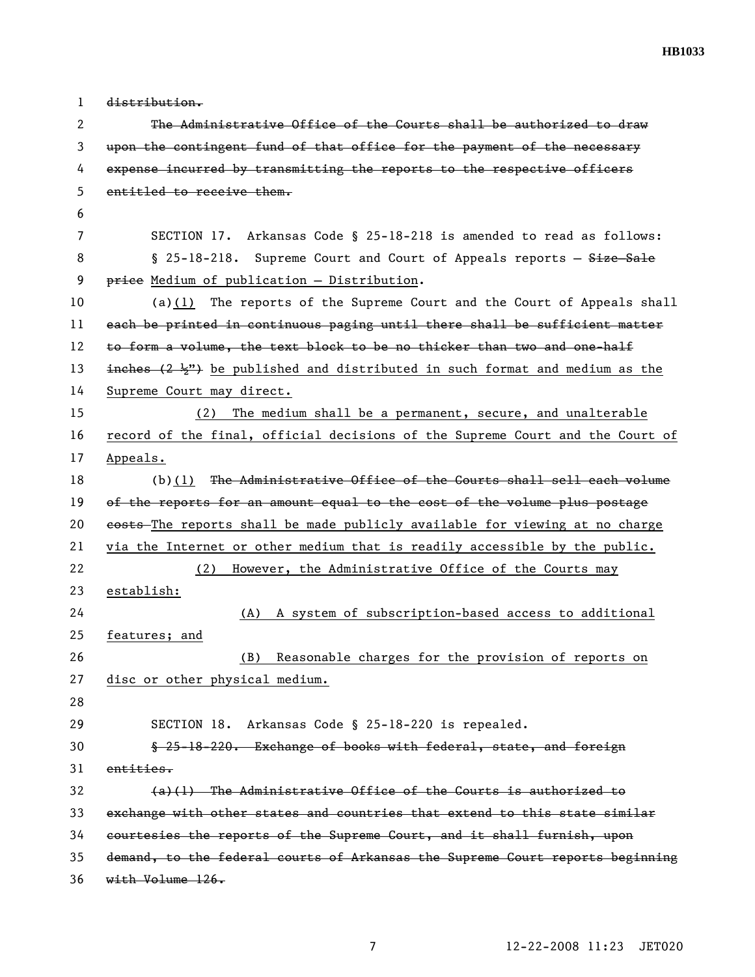1 distribution. 2 The Administrative Office of the Courts shall be authorized to draw 3 upon the contingent fund of that office for the payment of the necessary 4 expense incurred by transmitting the reports to the respective officers 5 entitled to receive them. 6 7 SECTION 17. Arkansas Code § 25-18-218 is amended to read as follows: 8 **§** 25-18-218. Supreme Court and Court of Appeals reports – Size–Sale 9 price Medium of publication — Distribution. 10 (a)(1) The reports of the Supreme Court and the Court of Appeals shall 11 each be printed in continuous paging until there shall be sufficient matter 12 to form a volume, the text block to be no thicker than two and one-half 13 inches  $(2 - k^2)$  be published and distributed in such format and medium as the 14 Supreme Court may direct. 15 (2) The medium shall be a permanent, secure, and unalterable 16 record of the final, official decisions of the Supreme Court and the Court of 17 Appeals. 18 (b)(1) The Administrative Office of the Courts shall sell each volume 19 of the reports for an amount equal to the cost of the volume plus postage 20 costs The reports shall be made publicly available for viewing at no charge 21 via the Internet or other medium that is readily accessible by the public. 22 (2) However, the Administrative Office of the Courts may 23 establish: 24 (A) A system of subscription-based access to additional 25 features; and 26 (B) Reasonable charges for the provision of reports on 27 disc or other physical medium. 28 29 SECTION 18. Arkansas Code § 25-18-220 is repealed. 30 § 25-18-220. Exchange of books with federal, state, and foreign 31 entities. 32 (a)(1) The Administrative Office of the Courts is authorized to 33 exchange with other states and countries that extend to this state similar 34 courtesies the reports of the Supreme Court, and it shall furnish, upon 35 demand, to the federal courts of Arkansas the Supreme Court reports beginning 36 with Volume 126.